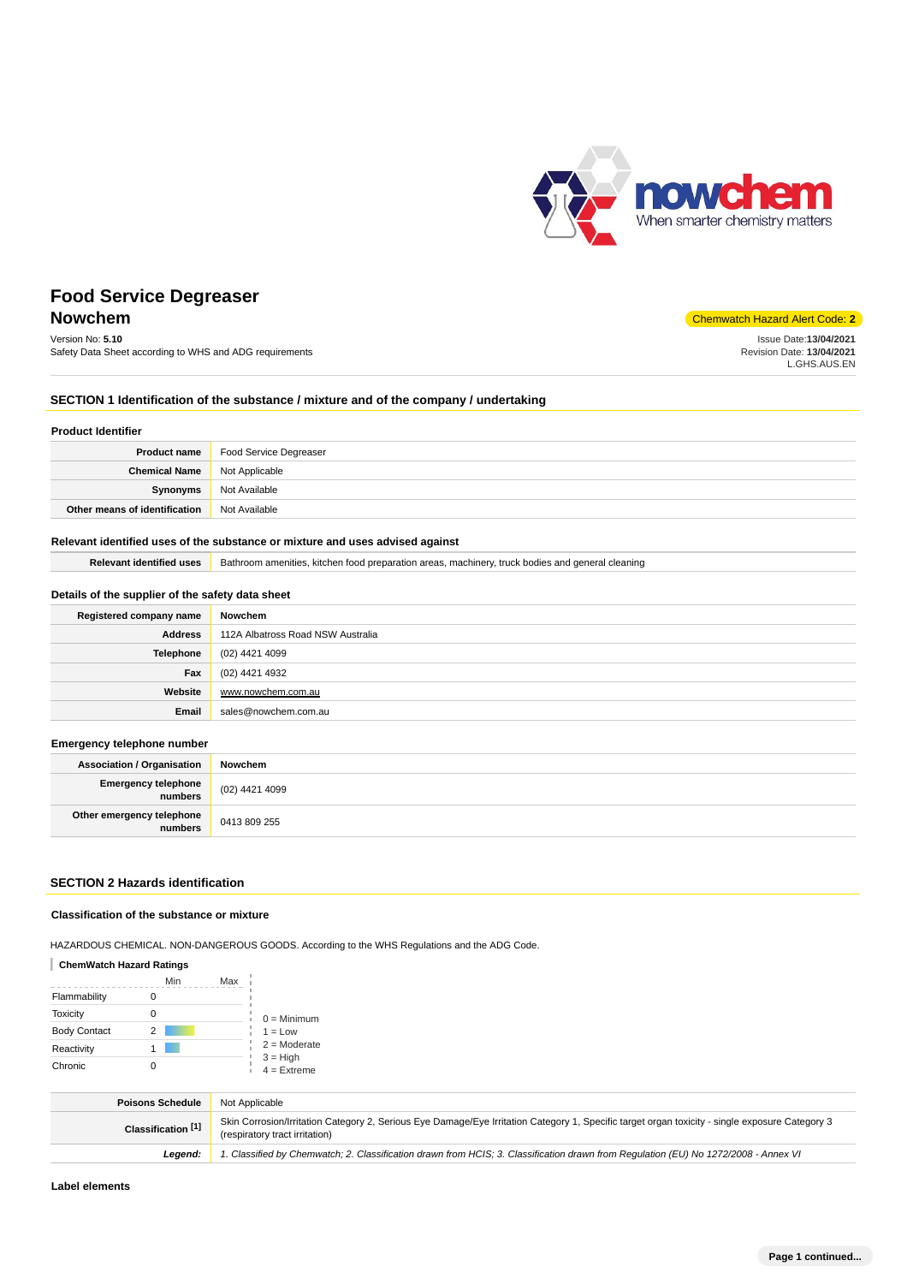

## **Food Service Degreaser Nowchem** Chemwatch Hazard Alert Code: **2**

Version No: **5.10** Safety Data Sheet according to WHS and ADG requirements Issue Date:**13/04/2021**

Revision Date: **13/04/2021** L.GHS.AUS.EN

**SECTION 1 Identification of the substance / mixture and of the company / undertaking**

### **Product Identifier**

|                               | <b>Product name</b> Food Service Degreaser |
|-------------------------------|--------------------------------------------|
| <b>Chemical Name</b>          | Not Applicable                             |
| Synonyms                      | Not Available                              |
| Other means of identification | Not Available                              |

## **Relevant identified uses of the substance or mixture and uses advised against**

Relevant identified uses **Bathroom amenities, kitchen food preparation areas, machinery, truck bodies and general cleaning** 

### **Details of the supplier of the safety data sheet**

| Registered company name | Nowchem                           |
|-------------------------|-----------------------------------|
| <b>Address</b>          | 112A Albatross Road NSW Australia |
| Telephone               | (02) 4421 4099                    |
| Fax                     | (02) 4421 4932                    |
| Website                 | www.nowchem.com.au                |
| Email                   | sales@nowchem.com.au              |

### **Emergency telephone number**

| <b>Association / Organisation</b>             | Nowchem        |
|-----------------------------------------------|----------------|
| <b>Emergency telephone</b><br><b>inumbers</b> | (02) 4421 4099 |
| Other emergency telephone<br>numbers          | 0413 809 255   |

### **SECTION 2 Hazards identification**

### **Classification of the substance or mixture**

HAZARDOUS CHEMICAL. NON-DANGEROUS GOODS. According to the WHS Regulations and the ADG Code.

### **ChemWatch Hazard Ratings**

|                     | Min | Max |                             |
|---------------------|-----|-----|-----------------------------|
| Flammability        |     |     |                             |
| <b>Toxicity</b>     |     |     | $0 =$ Minimum               |
| <b>Body Contact</b> | 2   |     | $1 = Low$                   |
| Reactivity          |     |     | $2 =$ Moderate              |
| Chronic             |     |     | $3 = High$<br>$4 =$ Extreme |

| <b>Poisons Schedule</b>       | Not Applicable                                                                                                                                                                    |
|-------------------------------|-----------------------------------------------------------------------------------------------------------------------------------------------------------------------------------|
| Classification <sup>[1]</sup> | Skin Corrosion/Irritation Category 2, Serious Eye Damage/Eye Irritation Category 1, Specific target organ toxicity - single exposure Category 3<br>(respiratory tract irritation) |
| Leaend:                       | 1. Classified by Chemwatch; 2. Classification drawn from HCIS; 3. Classification drawn from Requlation (EU) No 1272/2008 - Annex VI                                               |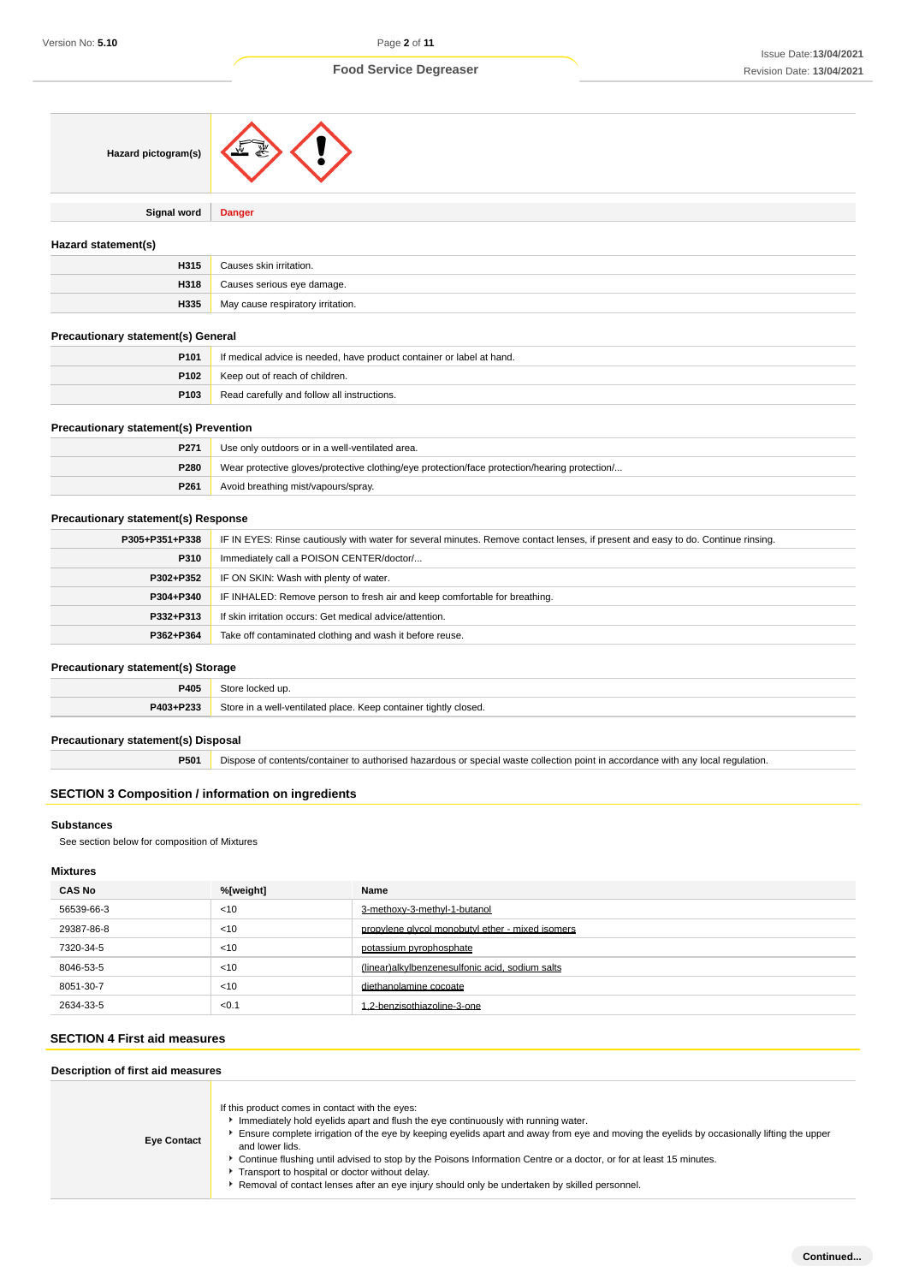| Hazard pictogram(s)                          |                                                                                                                                  |
|----------------------------------------------|----------------------------------------------------------------------------------------------------------------------------------|
| Signal word                                  | <b>Danger</b>                                                                                                                    |
| Hazard statement(s)                          |                                                                                                                                  |
| H315                                         | Causes skin irritation.                                                                                                          |
| H318                                         | Causes serious eye damage.                                                                                                       |
| H335                                         | May cause respiratory irritation.                                                                                                |
| <b>Precautionary statement(s) General</b>    |                                                                                                                                  |
| P101                                         | If medical advice is needed, have product container or label at hand.                                                            |
| P102                                         | Keep out of reach of children.                                                                                                   |
| P103                                         | Read carefully and follow all instructions.                                                                                      |
| <b>Precautionary statement(s) Prevention</b> |                                                                                                                                  |
| P271                                         | Use only outdoors or in a well-ventilated area.                                                                                  |
| P280                                         | Wear protective gloves/protective clothing/eye protection/face protection/hearing protection/                                    |
| P261                                         | Avoid breathing mist/vapours/spray.                                                                                              |
| <b>Precautionary statement(s) Response</b>   |                                                                                                                                  |
| P305+P351+P338                               | IF IN EYES: Rinse cautiously with water for several minutes. Remove contact lenses, if present and easy to do. Continue rinsing. |
| P310                                         | Immediately call a POISON CENTER/doctor/                                                                                         |
| P302+P352                                    | IF ON SKIN: Wash with plenty of water.                                                                                           |
| P304+P340                                    | IF INHALED: Remove person to fresh air and keep comfortable for breathing.                                                       |
| P332+P313                                    | If skin irritation occurs: Get medical advice/attention.                                                                         |
| P362+P364                                    | Take off contaminated clothing and wash it before reuse.                                                                         |
| <b>Precautionary statement(s) Storage</b>    |                                                                                                                                  |
| P405                                         | Store locked up.                                                                                                                 |
|                                              |                                                                                                                                  |

| -----     |                                                                  |
|-----------|------------------------------------------------------------------|
| P403+P233 | Store in a well-ventilated place. Keep container tightly closed. |
|           |                                                                  |

## **Precautionary statement(s) Disposal**

**P501** Dispose of contents/container to authorised hazardous or special waste collection point in accordance with any local regulation.

## **SECTION 3 Composition / information on ingredients**

## **Substances**

See section below for composition of Mixtures

## **Mixtures**

| <b>CAS No</b> | %[weight] | Name                                             |
|---------------|-----------|--------------------------------------------------|
| 56539-66-3    | < 10      | 3-methoxy-3-methyl-1-butanol                     |
| 29387-86-8    | < 10      | propylene givcol monobutyl ether - mixed isomers |
| 7320-34-5     | < 10      | potassium pyrophosphate                          |
| 8046-53-5     | < 10      | (linear)alkylbenzenesulfonic acid, sodium salts  |
| 8051-30-7     | < 10      | diethanolamine cocoate                           |
| 2634-33-5     | <0.1      | 1.2-benzisothiazoline-3-one                      |

## **SECTION 4 First aid measures**

**Description of first aid measures**

| <b>Eye Contact</b> | If this product comes in contact with the eyes:<br>Immediately hold eyelids apart and flush the eye continuously with running water.<br>Ensure complete irrigation of the eye by keeping eyelids apart and away from eye and moving the eyelids by occasionally lifting the upper<br>and lower lids.<br>► Continue flushing until advised to stop by the Poisons Information Centre or a doctor, or for at least 15 minutes.<br>Transport to hospital or doctor without delay.<br>Removal of contact lenses after an eye injury should only be undertaken by skilled personnel. |
|--------------------|---------------------------------------------------------------------------------------------------------------------------------------------------------------------------------------------------------------------------------------------------------------------------------------------------------------------------------------------------------------------------------------------------------------------------------------------------------------------------------------------------------------------------------------------------------------------------------|
|--------------------|---------------------------------------------------------------------------------------------------------------------------------------------------------------------------------------------------------------------------------------------------------------------------------------------------------------------------------------------------------------------------------------------------------------------------------------------------------------------------------------------------------------------------------------------------------------------------------|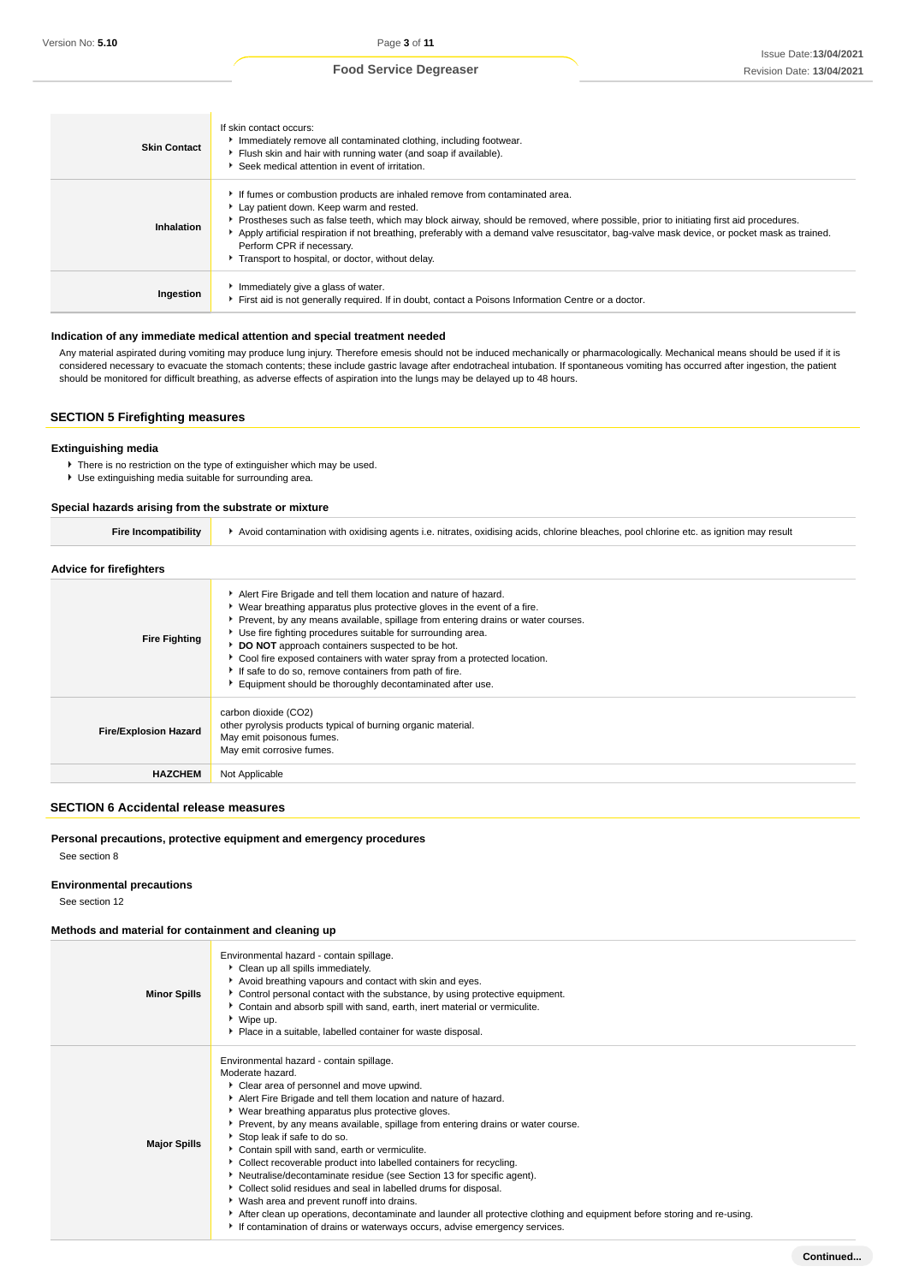| <b>Skin Contact</b> | If skin contact occurs:<br>Immediately remove all contaminated clothing, including footwear.<br>Flush skin and hair with running water (and soap if available).<br>Seek medical attention in event of irritation.                                                                                                                                                                                                                                                                               |
|---------------------|-------------------------------------------------------------------------------------------------------------------------------------------------------------------------------------------------------------------------------------------------------------------------------------------------------------------------------------------------------------------------------------------------------------------------------------------------------------------------------------------------|
| Inhalation          | If fumes or combustion products are inhaled remove from contaminated area.<br>Lay patient down. Keep warm and rested.<br>Prostheses such as false teeth, which may block airway, should be removed, where possible, prior to initiating first aid procedures.<br>Apply artificial respiration if not breathing, preferably with a demand valve resuscitator, bag-valve mask device, or pocket mask as trained.<br>Perform CPR if necessary.<br>Transport to hospital, or doctor, without delay. |
| Ingestion           | Immediately give a glass of water.<br>First aid is not generally required. If in doubt, contact a Poisons Information Centre or a doctor.                                                                                                                                                                                                                                                                                                                                                       |

### **Indication of any immediate medical attention and special treatment needed**

Any material aspirated during vomiting may produce lung injury. Therefore emesis should not be induced mechanically or pharmacologically. Mechanical means should be used if it is considered necessary to evacuate the stomach contents; these include gastric lavage after endotracheal intubation. If spontaneous vomiting has occurred after ingestion, the patient should be monitored for difficult breathing, as adverse effects of aspiration into the lungs may be delayed up to 48 hours.

## **SECTION 5 Firefighting measures**

### **Extinguishing media**

- There is no restriction on the type of extinguisher which may be used.
- Use extinguishing media suitable for surrounding area.

### **Special hazards arising from the substrate or mixture**

| <b>Fire Incompatibility</b>    | Avoid contamination with oxidising agents i.e. nitrates, oxidising acids, chlorine bleaches, pool chlorine etc. as ignition may result                                                                                                                                                                                                                                                                                                                                                                                                                 |
|--------------------------------|--------------------------------------------------------------------------------------------------------------------------------------------------------------------------------------------------------------------------------------------------------------------------------------------------------------------------------------------------------------------------------------------------------------------------------------------------------------------------------------------------------------------------------------------------------|
| <b>Advice for firefighters</b> |                                                                                                                                                                                                                                                                                                                                                                                                                                                                                                                                                        |
| <b>Fire Fighting</b>           | Alert Fire Brigade and tell them location and nature of hazard.<br>• Wear breathing apparatus plus protective gloves in the event of a fire.<br>▶ Prevent, by any means available, spillage from entering drains or water courses.<br>Use fire fighting procedures suitable for surrounding area.<br>DO NOT approach containers suspected to be hot.<br>Cool fire exposed containers with water spray from a protected location.<br>If safe to do so, remove containers from path of fire.<br>Equipment should be thoroughly decontaminated after use. |
| <b>Fire/Explosion Hazard</b>   | carbon dioxide (CO2)<br>other pyrolysis products typical of burning organic material.<br>May emit poisonous fumes.<br>May emit corrosive fumes.                                                                                                                                                                                                                                                                                                                                                                                                        |
| <b>HAZCHEM</b>                 | Not Applicable                                                                                                                                                                                                                                                                                                                                                                                                                                                                                                                                         |

### **SECTION 6 Accidental release measures**

### **Personal precautions, protective equipment and emergency procedures**

See section 8

## **Environmental precautions**

See section 12

## **Methods and material for containment and cleaning up**

| <b>Minor Spills</b> | Environmental hazard - contain spillage.<br>Clean up all spills immediately.<br>Avoid breathing vapours and contact with skin and eyes.<br>• Control personal contact with the substance, by using protective equipment.<br>Contain and absorb spill with sand, earth, inert material or vermiculite.<br>$\blacktriangleright$ Wipe up.<br>Place in a suitable, labelled container for waste disposal.                                                                                                                                                                                                                                                                                                                                                                                                                                                                             |
|---------------------|------------------------------------------------------------------------------------------------------------------------------------------------------------------------------------------------------------------------------------------------------------------------------------------------------------------------------------------------------------------------------------------------------------------------------------------------------------------------------------------------------------------------------------------------------------------------------------------------------------------------------------------------------------------------------------------------------------------------------------------------------------------------------------------------------------------------------------------------------------------------------------|
| <b>Major Spills</b> | Environmental hazard - contain spillage.<br>Moderate hazard.<br>Clear area of personnel and move upwind.<br>Alert Fire Brigade and tell them location and nature of hazard.<br>▶ Wear breathing apparatus plus protective gloves.<br>▶ Prevent, by any means available, spillage from entering drains or water course.<br>Stop leak if safe to do so.<br>Contain spill with sand, earth or vermiculite.<br>Collect recoverable product into labelled containers for recycling.<br>Neutralise/decontaminate residue (see Section 13 for specific agent).<br>Collect solid residues and seal in labelled drums for disposal.<br>▶ Wash area and prevent runoff into drains.<br>After clean up operations, decontaminate and launder all protective clothing and equipment before storing and re-using.<br>If contamination of drains or waterways occurs, advise emergency services. |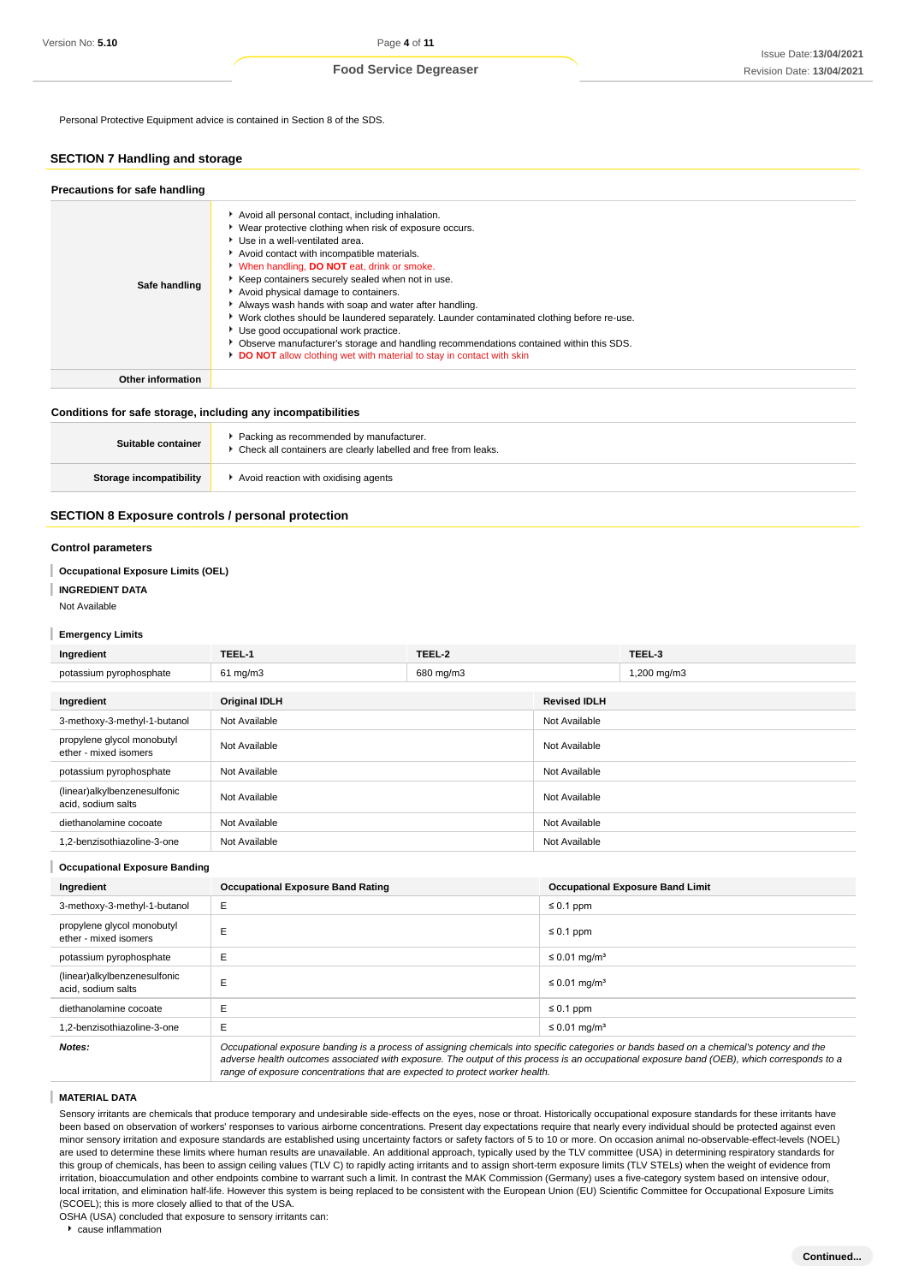Personal Protective Equipment advice is contained in Section 8 of the SDS.

### **SECTION 7 Handling and storage**

| Precautions for safe handling |                                                                                                                                                                                                                                                                                                                                                                                                                                                                                                                                                                                                                                                                                                                 |
|-------------------------------|-----------------------------------------------------------------------------------------------------------------------------------------------------------------------------------------------------------------------------------------------------------------------------------------------------------------------------------------------------------------------------------------------------------------------------------------------------------------------------------------------------------------------------------------------------------------------------------------------------------------------------------------------------------------------------------------------------------------|
| Safe handling                 | Avoid all personal contact, including inhalation.<br>▶ Wear protective clothing when risk of exposure occurs.<br>▶ Use in a well-ventilated area.<br>Avoid contact with incompatible materials.<br>V When handling, DO NOT eat, drink or smoke.<br>Keep containers securely sealed when not in use.<br>Avoid physical damage to containers.<br>Always wash hands with soap and water after handling.<br>• Work clothes should be laundered separately. Launder contaminated clothing before re-use.<br>Use good occupational work practice.<br>▶ Observe manufacturer's storage and handling recommendations contained within this SDS.<br>DO NOT allow clothing wet with material to stay in contact with skin |
| Other information             |                                                                                                                                                                                                                                                                                                                                                                                                                                                                                                                                                                                                                                                                                                                 |

### **Conditions for safe storage, including any incompatibilities**

| Suitable container      | Packing as recommended by manufacturer.<br>Check all containers are clearly labelled and free from leaks. |  |  |  |  |
|-------------------------|-----------------------------------------------------------------------------------------------------------|--|--|--|--|
| Storage incompatibility | Avoid reaction with oxidising agents                                                                      |  |  |  |  |

### **SECTION 8 Exposure controls / personal protection**

### **Control parameters**

**Occupational Exposure Limits (OEL)** Т

### **INGREDIENT DATA**

Not Available

ı

### **Emergency Limits**

| Ingredient                                          | TEEL-1               | TEEL-2    |                     | TEEL-3      |  |
|-----------------------------------------------------|----------------------|-----------|---------------------|-------------|--|
| potassium pyrophosphate                             | $61 \text{ mg/m}$ 3  | 680 mg/m3 |                     | 1,200 mg/m3 |  |
|                                                     |                      |           |                     |             |  |
| Ingredient                                          | <b>Original IDLH</b> |           | <b>Revised IDLH</b> |             |  |
| 3-methoxy-3-methyl-1-butanol                        | Not Available        |           | Not Available       |             |  |
| propylene glycol monobutyl<br>ether - mixed isomers | Not Available        |           | Not Available       |             |  |
| potassium pyrophosphate                             | Not Available        |           | Not Available       |             |  |
| (linear)alkylbenzenesulfonic<br>acid, sodium salts  | Not Available        |           | Not Available       |             |  |
| diethanolamine cocoate                              | Not Available        |           | Not Available       |             |  |
| 1.2-benzisothiazoline-3-one                         | Not Available        |           | Not Available       |             |  |

### **Occupational Exposure Banding**

| Ingredient                                          | <b>Occupational Exposure Band Rating</b>                                                                                                                                                                                                                                                 | <b>Occupational Exposure Band Limit</b> |
|-----------------------------------------------------|------------------------------------------------------------------------------------------------------------------------------------------------------------------------------------------------------------------------------------------------------------------------------------------|-----------------------------------------|
| 3-methoxy-3-methyl-1-butanol                        | E                                                                                                                                                                                                                                                                                        | $\leq 0.1$ ppm                          |
| propylene glycol monobutyl<br>ether - mixed isomers | E                                                                                                                                                                                                                                                                                        | $\leq 0.1$ ppm                          |
| potassium pyrophosphate                             | Е                                                                                                                                                                                                                                                                                        | $\leq$ 0.01 mg/m <sup>3</sup>           |
| (linear)alkylbenzenesulfonic<br>acid, sodium salts  | E                                                                                                                                                                                                                                                                                        | $\leq$ 0.01 mg/m <sup>3</sup>           |
| diethanolamine cocoate                              | Е                                                                                                                                                                                                                                                                                        | $\leq 0.1$ ppm                          |
| 1.2-benzisothiazoline-3-one                         | Е                                                                                                                                                                                                                                                                                        | $\leq$ 0.01 mg/m <sup>3</sup>           |
| Notes:                                              | Occupational exposure banding is a process of assigning chemicals into specific categories or bands based on a chemical's potency and the<br>adverse health outcomes associated with exposure. The output of this process is an occupational exposure band (OEB), which corresponds to a |                                         |

range of exposure concentrations that are expected to protect worker health.

### **MATERIAL DATA**

I

Sensory irritants are chemicals that produce temporary and undesirable side-effects on the eyes, nose or throat. Historically occupational exposure standards for these irritants have been based on observation of workers' responses to various airborne concentrations. Present day expectations require that nearly every individual should be protected against even minor sensory irritation and exposure standards are established using uncertainty factors or safety factors of 5 to 10 or more. On occasion animal no-observable-effect-levels (NOEL) are used to determine these limits where human results are unavailable. An additional approach, typically used by the TLV committee (USA) in determining respiratory standards for this group of chemicals, has been to assign ceiling values (TLV C) to rapidly acting irritants and to assign short-term exposure limits (TLV STELs) when the weight of evidence from irritation, bioaccumulation and other endpoints combine to warrant such a limit. In contrast the MAK Commission (Germany) uses a five-category system based on intensive odour, local irritation, and elimination half-life. However this system is being replaced to be consistent with the European Union (EU) Scientific Committee for Occupational Exposure Limits (SCOEL); this is more closely allied to that of the USA.

OSHA (USA) concluded that exposure to sensory irritants can:

cause inflammation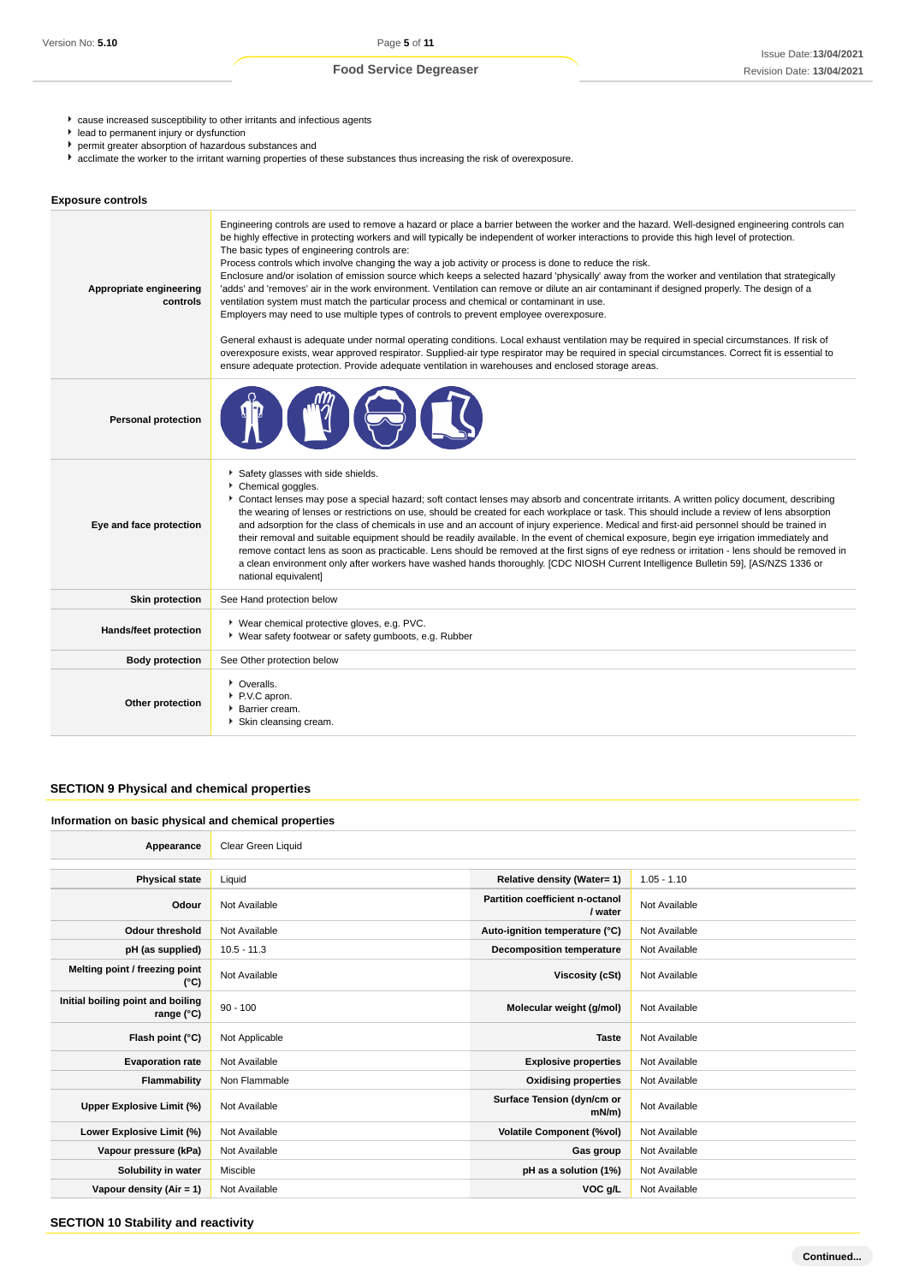- cause increased susceptibility to other irritants and infectious agents
- $\blacktriangleright$  lead to permanent injury or dysfunction
- permit greater absorption of hazardous substances and
- acclimate the worker to the irritant warning properties of these substances thus increasing the risk of overexposure.

| <b>Exposure controls</b>            |                                                                                                                                                                                                                                                                                                                                                                                                                                                                                                                                                                                                                                                                                                                                                                                                                                                                                                                                                                                                                                                                                                                                                                                                                                                                                                                                                             |
|-------------------------------------|-------------------------------------------------------------------------------------------------------------------------------------------------------------------------------------------------------------------------------------------------------------------------------------------------------------------------------------------------------------------------------------------------------------------------------------------------------------------------------------------------------------------------------------------------------------------------------------------------------------------------------------------------------------------------------------------------------------------------------------------------------------------------------------------------------------------------------------------------------------------------------------------------------------------------------------------------------------------------------------------------------------------------------------------------------------------------------------------------------------------------------------------------------------------------------------------------------------------------------------------------------------------------------------------------------------------------------------------------------------|
| Appropriate engineering<br>controls | Engineering controls are used to remove a hazard or place a barrier between the worker and the hazard. Well-designed engineering controls can<br>be highly effective in protecting workers and will typically be independent of worker interactions to provide this high level of protection.<br>The basic types of engineering controls are:<br>Process controls which involve changing the way a job activity or process is done to reduce the risk.<br>Enclosure and/or isolation of emission source which keeps a selected hazard 'physically' away from the worker and ventilation that strategically<br>'adds' and 'removes' air in the work environment. Ventilation can remove or dilute an air contaminant if designed properly. The design of a<br>ventilation system must match the particular process and chemical or contaminant in use.<br>Employers may need to use multiple types of controls to prevent employee overexposure.<br>General exhaust is adequate under normal operating conditions. Local exhaust ventilation may be required in special circumstances. If risk of<br>overexposure exists, wear approved respirator. Supplied-air type respirator may be required in special circumstances. Correct fit is essential to<br>ensure adequate protection. Provide adequate ventilation in warehouses and enclosed storage areas. |
| <b>Personal protection</b>          |                                                                                                                                                                                                                                                                                                                                                                                                                                                                                                                                                                                                                                                                                                                                                                                                                                                                                                                                                                                                                                                                                                                                                                                                                                                                                                                                                             |
| Eye and face protection             | Safety glasses with side shields.<br>Chemical goggles.<br>Contact lenses may pose a special hazard; soft contact lenses may absorb and concentrate irritants. A written policy document, describing<br>the wearing of lenses or restrictions on use, should be created for each workplace or task. This should include a review of lens absorption<br>and adsorption for the class of chemicals in use and an account of injury experience. Medical and first-aid personnel should be trained in<br>their removal and suitable equipment should be readily available. In the event of chemical exposure, begin eye irrigation immediately and<br>remove contact lens as soon as practicable. Lens should be removed at the first signs of eye redness or irritation - lens should be removed in<br>a clean environment only after workers have washed hands thoroughly. [CDC NIOSH Current Intelligence Bulletin 59], [AS/NZS 1336 or<br>national equivalent]                                                                                                                                                                                                                                                                                                                                                                                               |
| <b>Skin protection</b>              | See Hand protection below                                                                                                                                                                                                                                                                                                                                                                                                                                                                                                                                                                                                                                                                                                                                                                                                                                                                                                                                                                                                                                                                                                                                                                                                                                                                                                                                   |
| Hands/feet protection               | ▶ Wear chemical protective gloves, e.g. PVC.<br>▶ Wear safety footwear or safety gumboots, e.g. Rubber                                                                                                                                                                                                                                                                                                                                                                                                                                                                                                                                                                                                                                                                                                                                                                                                                                                                                                                                                                                                                                                                                                                                                                                                                                                      |
| <b>Body protection</b>              | See Other protection below                                                                                                                                                                                                                                                                                                                                                                                                                                                                                                                                                                                                                                                                                                                                                                                                                                                                                                                                                                                                                                                                                                                                                                                                                                                                                                                                  |
| Other protection                    | • Overalls.<br>P.V.C apron.<br><b>Barrier cream.</b><br>Skin cleansing cream.                                                                                                                                                                                                                                                                                                                                                                                                                                                                                                                                                                                                                                                                                                                                                                                                                                                                                                                                                                                                                                                                                                                                                                                                                                                                               |

## **SECTION 9 Physical and chemical properties**

### **Information on basic physical and chemical properties**

| Appearance                                      | Clear Green Liquid |                                                   |               |
|-------------------------------------------------|--------------------|---------------------------------------------------|---------------|
|                                                 |                    |                                                   |               |
| <b>Physical state</b>                           | Liquid             | Relative density (Water= 1)                       | $1.05 - 1.10$ |
| Odour                                           | Not Available      | <b>Partition coefficient n-octanol</b><br>/ water | Not Available |
| Odour threshold                                 | Not Available      | Auto-ignition temperature (°C)                    | Not Available |
| pH (as supplied)                                | $10.5 - 11.3$      | Decomposition temperature                         | Not Available |
| Melting point / freezing point<br>(°C)          | Not Available      | Viscosity (cSt)                                   | Not Available |
| Initial boiling point and boiling<br>range (°C) | $90 - 100$         | Molecular weight (g/mol)                          | Not Available |
| Flash point (°C)                                | Not Applicable     | <b>Taste</b>                                      | Not Available |
| <b>Evaporation rate</b>                         | Not Available      | <b>Explosive properties</b>                       | Not Available |
| Flammability                                    | Non Flammable      | <b>Oxidising properties</b>                       | Not Available |
| Upper Explosive Limit (%)                       | Not Available      | Surface Tension (dyn/cm or<br>$mN/m$ )            | Not Available |
| Lower Explosive Limit (%)                       | Not Available      | <b>Volatile Component (%vol)</b>                  | Not Available |
| Vapour pressure (kPa)                           | Not Available      | Gas group                                         | Not Available |
| Solubility in water                             | Miscible           | pH as a solution (1%)                             | Not Available |
| Vapour density (Air = 1)                        | Not Available      | VOC g/L                                           | Not Available |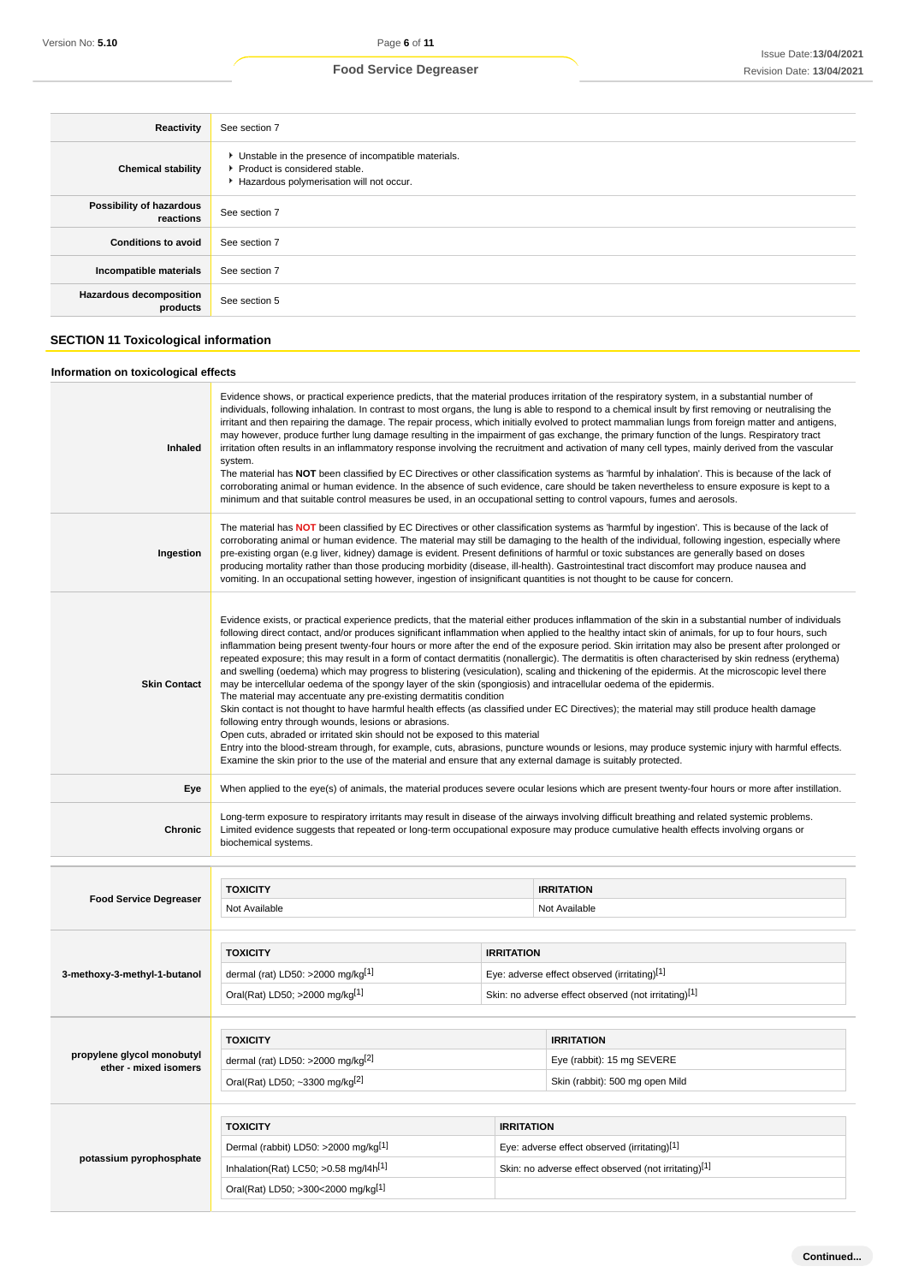| Reactivity                                 | See section 7                                                                                                                        |
|--------------------------------------------|--------------------------------------------------------------------------------------------------------------------------------------|
| <b>Chemical stability</b>                  | • Unstable in the presence of incompatible materials.<br>▶ Product is considered stable.<br>Hazardous polymerisation will not occur. |
| Possibility of hazardous<br>reactions      | See section 7                                                                                                                        |
| <b>Conditions to avoid</b>                 | See section 7                                                                                                                        |
| Incompatible materials                     | See section 7                                                                                                                        |
| <b>Hazardous decomposition</b><br>products | See section 5                                                                                                                        |

## **SECTION 11 Toxicological information**

## **Information on toxicological effects**

| Inhaled                       | Evidence shows, or practical experience predicts, that the material produces irritation of the respiratory system, in a substantial number of<br>individuals, following inhalation. In contrast to most organs, the lung is able to respond to a chemical insult by first removing or neutralising the<br>irritant and then repairing the damage. The repair process, which initially evolved to protect mammalian lungs from foreign matter and antigens,<br>may however, produce further lung damage resulting in the impairment of gas exchange, the primary function of the lungs. Respiratory tract<br>irritation often results in an inflammatory response involving the recruitment and activation of many cell types, mainly derived from the vascular<br>system.<br>The material has NOT been classified by EC Directives or other classification systems as 'harmful by inhalation'. This is because of the lack of<br>corroborating animal or human evidence. In the absence of such evidence, care should be taken nevertheless to ensure exposure is kept to a<br>minimum and that suitable control measures be used, in an occupational setting to control vapours, fumes and aerosols.                                                                                                                                                                                                                                                                                                                          |                   |                                                                                                                                                    |  |  |  |  |
|-------------------------------|--------------------------------------------------------------------------------------------------------------------------------------------------------------------------------------------------------------------------------------------------------------------------------------------------------------------------------------------------------------------------------------------------------------------------------------------------------------------------------------------------------------------------------------------------------------------------------------------------------------------------------------------------------------------------------------------------------------------------------------------------------------------------------------------------------------------------------------------------------------------------------------------------------------------------------------------------------------------------------------------------------------------------------------------------------------------------------------------------------------------------------------------------------------------------------------------------------------------------------------------------------------------------------------------------------------------------------------------------------------------------------------------------------------------------------------------------------------------------------------------------------------------------------|-------------------|----------------------------------------------------------------------------------------------------------------------------------------------------|--|--|--|--|
| Ingestion                     | The material has NOT been classified by EC Directives or other classification systems as 'harmful by ingestion'. This is because of the lack of<br>corroborating animal or human evidence. The material may still be damaging to the health of the individual, following ingestion, especially where<br>pre-existing organ (e.g liver, kidney) damage is evident. Present definitions of harmful or toxic substances are generally based on doses<br>producing mortality rather than those producing morbidity (disease, ill-health). Gastrointestinal tract discomfort may produce nausea and<br>vomiting. In an occupational setting however, ingestion of insignificant quantities is not thought to be cause for concern.                                                                                                                                                                                                                                                                                                                                                                                                                                                                                                                                                                                                                                                                                                                                                                                                  |                   |                                                                                                                                                    |  |  |  |  |
| <b>Skin Contact</b>           | Evidence exists, or practical experience predicts, that the material either produces inflammation of the skin in a substantial number of individuals<br>following direct contact, and/or produces significant inflammation when applied to the healthy intact skin of animals, for up to four hours, such<br>inflammation being present twenty-four hours or more after the end of the exposure period. Skin irritation may also be present after prolonged or<br>repeated exposure; this may result in a form of contact dermatitis (nonallergic). The dermatitis is often characterised by skin redness (erythema)<br>and swelling (oedema) which may progress to blistering (vesiculation), scaling and thickening of the epidermis. At the microscopic level there<br>may be intercellular oedema of the spongy layer of the skin (spongiosis) and intracellular oedema of the epidermis.<br>The material may accentuate any pre-existing dermatitis condition<br>Skin contact is not thought to have harmful health effects (as classified under EC Directives); the material may still produce health damage<br>following entry through wounds, lesions or abrasions.<br>Open cuts, abraded or irritated skin should not be exposed to this material<br>Entry into the blood-stream through, for example, cuts, abrasions, puncture wounds or lesions, may produce systemic injury with harmful effects.<br>Examine the skin prior to the use of the material and ensure that any external damage is suitably protected. |                   |                                                                                                                                                    |  |  |  |  |
| Eye                           |                                                                                                                                                                                                                                                                                                                                                                                                                                                                                                                                                                                                                                                                                                                                                                                                                                                                                                                                                                                                                                                                                                                                                                                                                                                                                                                                                                                                                                                                                                                                |                   | When applied to the eye(s) of animals, the material produces severe ocular lesions which are present twenty-four hours or more after instillation. |  |  |  |  |
|                               | Long-term exposure to respiratory irritants may result in disease of the airways involving difficult breathing and related systemic problems.<br>Limited evidence suggests that repeated or long-term occupational exposure may produce cumulative health effects involving organs or<br>biochemical systems.                                                                                                                                                                                                                                                                                                                                                                                                                                                                                                                                                                                                                                                                                                                                                                                                                                                                                                                                                                                                                                                                                                                                                                                                                  |                   |                                                                                                                                                    |  |  |  |  |
| Chronic                       |                                                                                                                                                                                                                                                                                                                                                                                                                                                                                                                                                                                                                                                                                                                                                                                                                                                                                                                                                                                                                                                                                                                                                                                                                                                                                                                                                                                                                                                                                                                                |                   |                                                                                                                                                    |  |  |  |  |
|                               |                                                                                                                                                                                                                                                                                                                                                                                                                                                                                                                                                                                                                                                                                                                                                                                                                                                                                                                                                                                                                                                                                                                                                                                                                                                                                                                                                                                                                                                                                                                                |                   |                                                                                                                                                    |  |  |  |  |
| <b>Food Service Degreaser</b> | <b>TOXICITY</b>                                                                                                                                                                                                                                                                                                                                                                                                                                                                                                                                                                                                                                                                                                                                                                                                                                                                                                                                                                                                                                                                                                                                                                                                                                                                                                                                                                                                                                                                                                                |                   | <b>IRRITATION</b>                                                                                                                                  |  |  |  |  |
|                               | Not Available                                                                                                                                                                                                                                                                                                                                                                                                                                                                                                                                                                                                                                                                                                                                                                                                                                                                                                                                                                                                                                                                                                                                                                                                                                                                                                                                                                                                                                                                                                                  |                   | Not Available                                                                                                                                      |  |  |  |  |
|                               |                                                                                                                                                                                                                                                                                                                                                                                                                                                                                                                                                                                                                                                                                                                                                                                                                                                                                                                                                                                                                                                                                                                                                                                                                                                                                                                                                                                                                                                                                                                                |                   |                                                                                                                                                    |  |  |  |  |
|                               | <b>TOXICITY</b>                                                                                                                                                                                                                                                                                                                                                                                                                                                                                                                                                                                                                                                                                                                                                                                                                                                                                                                                                                                                                                                                                                                                                                                                                                                                                                                                                                                                                                                                                                                | <b>IRRITATION</b> |                                                                                                                                                    |  |  |  |  |
| 3-methoxy-3-methyl-1-butanol  | dermal (rat) LD50: >2000 mg/kg[1]                                                                                                                                                                                                                                                                                                                                                                                                                                                                                                                                                                                                                                                                                                                                                                                                                                                                                                                                                                                                                                                                                                                                                                                                                                                                                                                                                                                                                                                                                              |                   | Eye: adverse effect observed (irritating)[1]                                                                                                       |  |  |  |  |
|                               | Oral(Rat) LD50; >2000 mg/kg[1]                                                                                                                                                                                                                                                                                                                                                                                                                                                                                                                                                                                                                                                                                                                                                                                                                                                                                                                                                                                                                                                                                                                                                                                                                                                                                                                                                                                                                                                                                                 |                   | Skin: no adverse effect observed (not irritating)[1]                                                                                               |  |  |  |  |
|                               | <b>TOXICITY</b>                                                                                                                                                                                                                                                                                                                                                                                                                                                                                                                                                                                                                                                                                                                                                                                                                                                                                                                                                                                                                                                                                                                                                                                                                                                                                                                                                                                                                                                                                                                |                   | <b>IRRITATION</b>                                                                                                                                  |  |  |  |  |
| propylene glycol monobutyl    | dermal (rat) LD50: >2000 mg/kg $[2]$                                                                                                                                                                                                                                                                                                                                                                                                                                                                                                                                                                                                                                                                                                                                                                                                                                                                                                                                                                                                                                                                                                                                                                                                                                                                                                                                                                                                                                                                                           |                   | Eye (rabbit): 15 mg SEVERE                                                                                                                         |  |  |  |  |
| ether - mixed isomers         | Oral(Rat) LD50; $\sim$ 3300 mg/kg $^{[2]}$                                                                                                                                                                                                                                                                                                                                                                                                                                                                                                                                                                                                                                                                                                                                                                                                                                                                                                                                                                                                                                                                                                                                                                                                                                                                                                                                                                                                                                                                                     |                   | Skin (rabbit): 500 mg open Mild                                                                                                                    |  |  |  |  |
|                               |                                                                                                                                                                                                                                                                                                                                                                                                                                                                                                                                                                                                                                                                                                                                                                                                                                                                                                                                                                                                                                                                                                                                                                                                                                                                                                                                                                                                                                                                                                                                |                   |                                                                                                                                                    |  |  |  |  |
|                               | <b>TOXICITY</b>                                                                                                                                                                                                                                                                                                                                                                                                                                                                                                                                                                                                                                                                                                                                                                                                                                                                                                                                                                                                                                                                                                                                                                                                                                                                                                                                                                                                                                                                                                                | <b>IRRITATION</b> |                                                                                                                                                    |  |  |  |  |
| potassium pyrophosphate       | Dermal (rabbit) LD50: >2000 mg/kg <sup>[1]</sup>                                                                                                                                                                                                                                                                                                                                                                                                                                                                                                                                                                                                                                                                                                                                                                                                                                                                                                                                                                                                                                                                                                                                                                                                                                                                                                                                                                                                                                                                               |                   | Eye: adverse effect observed (irritating)[1]                                                                                                       |  |  |  |  |
|                               | Inhalation(Rat) LC50; $>0.58$ mg/l4h <sup>[1]</sup><br>Oral(Rat) LD50; >300<2000 mg/kg[1]                                                                                                                                                                                                                                                                                                                                                                                                                                                                                                                                                                                                                                                                                                                                                                                                                                                                                                                                                                                                                                                                                                                                                                                                                                                                                                                                                                                                                                      |                   | Skin: no adverse effect observed (not irritating)[1]                                                                                               |  |  |  |  |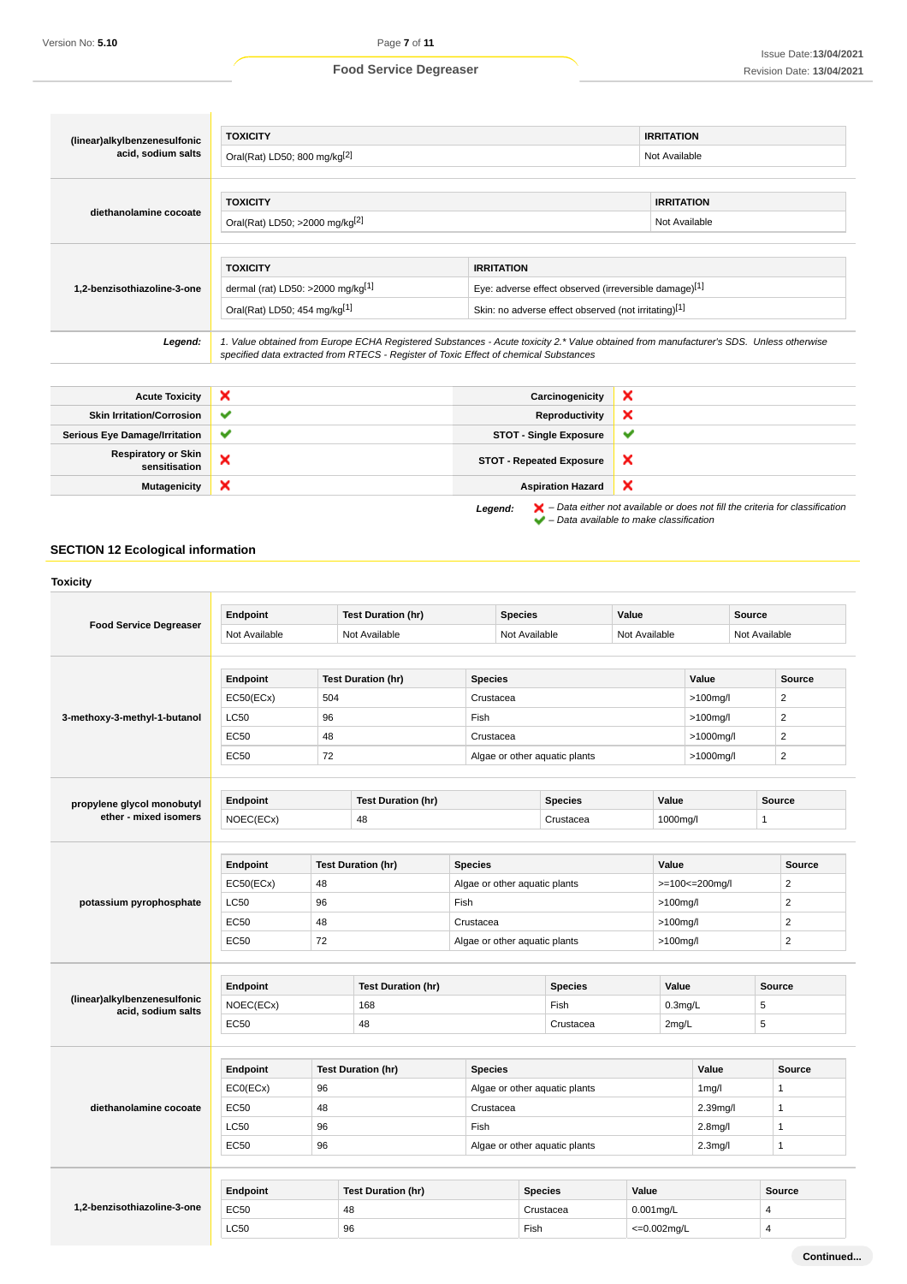| (linear)alkylbenzenesulfonic<br>acid, sodium salts | <b>TOXICITY</b>                                                                       |                                                                                                                                        | <b>IRRITATION</b> |  |
|----------------------------------------------------|---------------------------------------------------------------------------------------|----------------------------------------------------------------------------------------------------------------------------------------|-------------------|--|
|                                                    | Oral(Rat) LD50; 800 mg/kg[2]                                                          |                                                                                                                                        | Not Available     |  |
| diethanolamine cocoate                             | <b>TOXICITY</b>                                                                       |                                                                                                                                        | <b>IRRITATION</b> |  |
|                                                    | Oral(Rat) LD50; >2000 mg/kg <sup>[2]</sup>                                            | Not Available                                                                                                                          |                   |  |
|                                                    |                                                                                       |                                                                                                                                        |                   |  |
|                                                    | <b>TOXICITY</b>                                                                       | <b>IRRITATION</b>                                                                                                                      |                   |  |
| 1,2-benzisothiazoline-3-one                        | dermal (rat) LD50: >2000 mg/kg[1]                                                     | Eye: adverse effect observed (irreversible damage)[1]                                                                                  |                   |  |
|                                                    | Oral(Rat) LD50; 454 mg/kg[1]                                                          | Skin: no adverse effect observed (not irritating)[1]                                                                                   |                   |  |
| Legend:                                            | specified data extracted from RTECS - Register of Toxic Effect of chemical Substances | 1. Value obtained from Europe ECHA Registered Substances - Acute toxicity 2.* Value obtained from manufacturer's SDS. Unless otherwise |                   |  |

| <b>Acute Toxicity</b>                       | $\boldsymbol{\mathsf{x}}$ | Carcinogenicity                 | ×                                                                                                                                             |
|---------------------------------------------|---------------------------|---------------------------------|-----------------------------------------------------------------------------------------------------------------------------------------------|
| <b>Skin Irritation/Corrosion</b>            | $\checkmark$              | Reproductivity                  | ×                                                                                                                                             |
| <b>Serious Eye Damage/Irritation</b>        | $\checkmark$              | <b>STOT - Single Exposure</b>   | $\checkmark$                                                                                                                                  |
| <b>Respiratory or Skin</b><br>sensitisation | ×                         | <b>STOT - Repeated Exposure</b> | ×                                                                                                                                             |
| Mutagenicity                                | ×                         | <b>Aspiration Hazard</b>        | ×                                                                                                                                             |
|                                             |                           | Legend:                         | $\blacktriangleright$ - Data either not available or does not fill the criteria for classification<br>- Data available to make classification |

## **SECTION 12 Ecological information**

| <b>Toxicity</b>                                     |                       |     |                                 |      |                                       |                               |       |                               |                      |                |                          |  |
|-----------------------------------------------------|-----------------------|-----|---------------------------------|------|---------------------------------------|-------------------------------|-------|-------------------------------|----------------------|----------------|--------------------------|--|
|                                                     | Endpoint              |     | <b>Test Duration (hr)</b>       |      | <b>Species</b>                        |                               | Value |                               |                      | <b>Source</b>  |                          |  |
| <b>Food Service Degreaser</b>                       | Not Available         |     | Not Available                   |      | Not Available                         |                               |       | Not Available                 |                      |                | Not Available            |  |
|                                                     | Endpoint              |     | <b>Test Duration (hr)</b>       |      | <b>Species</b>                        |                               |       | Value                         |                      | Source         |                          |  |
|                                                     | EC50(ECx)             | 504 |                                 |      | Crustacea                             |                               |       |                               | $>100$ mg/l          |                | 2                        |  |
| 3-methoxy-3-methyl-1-butanol                        | LC50                  | 96  |                                 |      | Fish                                  |                               |       |                               | >100mg/l             |                | $\overline{2}$           |  |
|                                                     | <b>EC50</b>           | 48  |                                 |      | Crustacea                             |                               |       |                               | >1000mg/l            |                | 2                        |  |
|                                                     | <b>EC50</b>           | 72  |                                 |      |                                       | Algae or other aquatic plants |       |                               | >1000mg/l            |                | $\overline{2}$           |  |
|                                                     | Endpoint              |     | <b>Test Duration (hr)</b>       |      |                                       | <b>Species</b>                |       | Value                         |                      |                | Source                   |  |
| propylene glycol monobutyl<br>ether - mixed isomers | NOEC(ECx)             |     | 48                              |      |                                       | Crustacea                     |       | 1000mg/l                      |                      | $\mathbf{1}$   |                          |  |
|                                                     |                       |     |                                 |      |                                       |                               |       | Value                         |                      |                |                          |  |
| potassium pyrophosphate                             | Endpoint<br>EC50(ECx) |     | <b>Test Duration (hr)</b><br>48 |      | <b>Species</b>                        |                               |       |                               |                      |                | Source<br>$\overline{2}$ |  |
|                                                     | LC50                  |     | 96                              |      | Algae or other aquatic plants<br>Fish |                               |       | >=100<=200mg/l<br>$>100$ mg/l |                      |                | $\overline{2}$           |  |
|                                                     | <b>EC50</b>           |     | 48                              |      | Crustacea                             |                               |       | $>100$ mg/l                   |                      | $\overline{2}$ |                          |  |
|                                                     | <b>EC50</b>           |     | 72                              |      | Algae or other aquatic plants         |                               |       | $>100$ mg/l                   |                      | $\overline{2}$ |                          |  |
|                                                     |                       |     |                                 |      |                                       |                               |       |                               |                      |                |                          |  |
|                                                     | Endpoint              |     | <b>Test Duration (hr)</b>       |      | <b>Species</b>                        |                               |       | Value                         |                      | <b>Source</b>  |                          |  |
| (linear)alkylbenzenesulfonic<br>acid, sodium salts  | NOEC(ECx)             |     | 168                             | Fish |                                       | $0.3$ mg/L                    |       | 5                             |                      |                |                          |  |
|                                                     | EC50                  |     | 48                              |      | Crustacea                             |                               | 2mg/L | 5                             |                      |                |                          |  |
|                                                     | Endpoint              |     | <b>Test Duration (hr)</b>       |      | <b>Species</b>                        |                               |       | Value                         |                      |                | <b>Source</b>            |  |
|                                                     | ECO(ECx)              | 96  |                                 |      |                                       | Algae or other aquatic plants |       |                               | 1 <sub>mg</sub> /I   |                | 1                        |  |
| diethanolamine cocoate                              | <b>EC50</b>           | 48  |                                 |      | Crustacea                             |                               |       |                               | 2.39mg/l             |                | $\mathbf{1}$             |  |
|                                                     | <b>LC50</b>           | 96  |                                 | Fish |                                       |                               |       |                               | 2.8 <sub>m</sub> g/l |                | 1                        |  |
|                                                     | EC50                  | 96  |                                 |      |                                       | Algae or other aquatic plants |       |                               | 2.3 <sub>m</sub> g/l |                | $\mathbf{1}$             |  |
|                                                     | Endpoint              |     | <b>Test Duration (hr)</b>       |      |                                       | <b>Species</b>                | Value |                               |                      |                | Source                   |  |
| 1,2-benzisothiazoline-3-one                         | <b>EC50</b>           |     | 48                              |      |                                       | Crustacea                     |       | $0.001$ mg/L                  |                      | $\overline{4}$ |                          |  |
|                                                     | <b>LC50</b>           |     | 96                              |      | Fish                                  |                               |       | <= 0.002mg/L                  |                      | $\overline{4}$ |                          |  |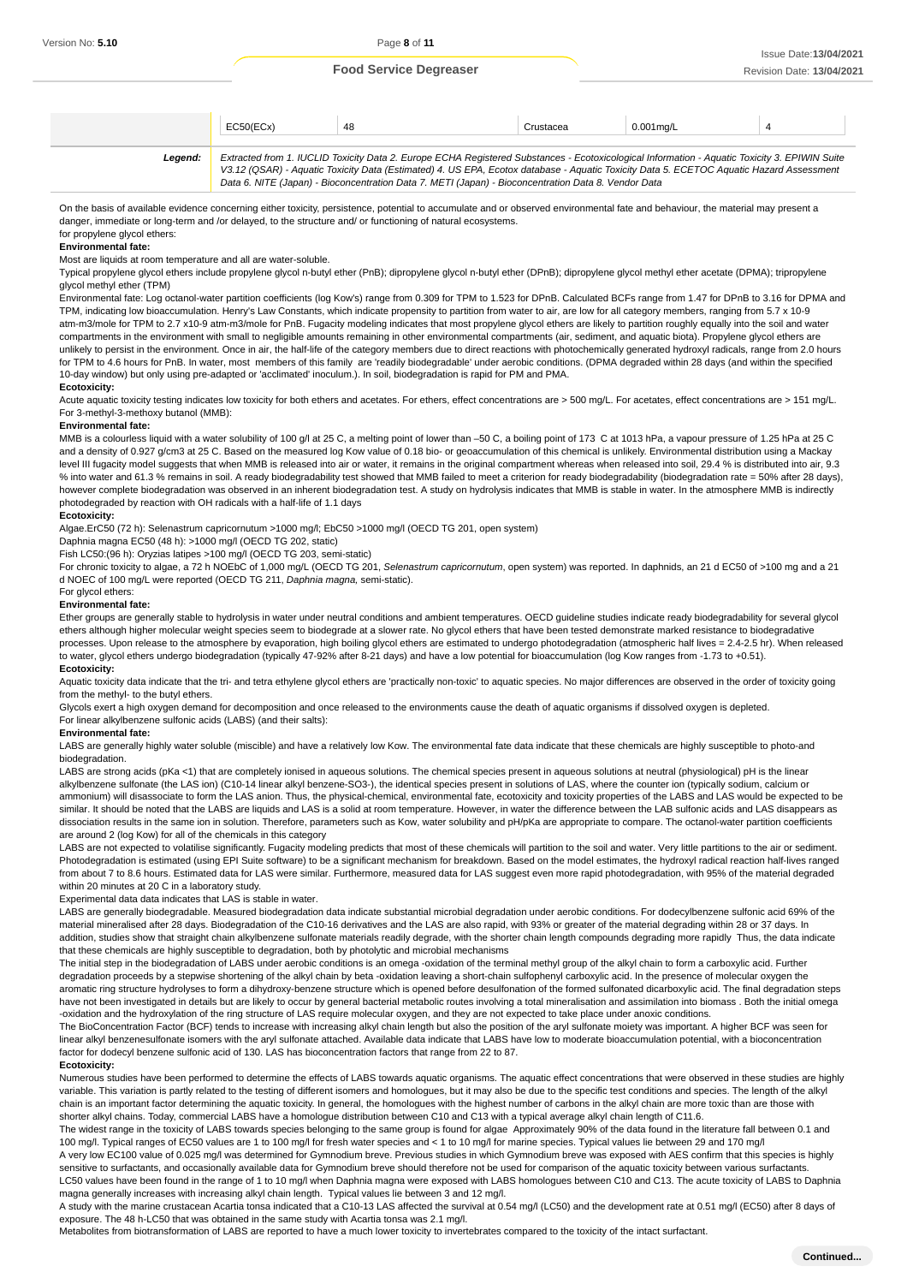|         | EC50(ECx)                                                                                                                               | 48                                                                                                                                            | Crustacea | $0.001$ ma/L |  |  |  |
|---------|-----------------------------------------------------------------------------------------------------------------------------------------|-----------------------------------------------------------------------------------------------------------------------------------------------|-----------|--------------|--|--|--|
|         |                                                                                                                                         |                                                                                                                                               |           |              |  |  |  |
| Leaend: |                                                                                                                                         | Extracted from 1. IUCLID Toxicity Data 2. Europe ECHA Registered Substances - Ecotoxicological Information - Aquatic Toxicity 3. EPIWIN Suite |           |              |  |  |  |
|         | V3.12 (QSAR) - Aquatic Toxicity Data (Estimated) 4. US EPA, Ecotox database - Aquatic Toxicity Data 5. ECETOC Aquatic Hazard Assessment |                                                                                                                                               |           |              |  |  |  |
|         |                                                                                                                                         | Data 6. NITE (Japan) - Bioconcentration Data 7. METI (Japan) - Bioconcentration Data 8. Vendor Data                                           |           |              |  |  |  |

On the basis of available evidence concerning either toxicity, persistence, potential to accumulate and or observed environmental fate and behaviour, the material may present a danger, immediate or long-term and /or delayed, to the structure and/ or functioning of natural ecosystems.

for propylene glycol ethers: **Environmental fate:**

Most are liquids at room temperature and all are water-soluble.

Typical propylene glycol ethers include propylene glycol n-butyl ether (PnB); dipropylene glycol n-butyl ether (DPnB); dipropylene glycol methyl ether acetate (DPMA); tripropylene glycol methyl ether (TPM)

Environmental fate: Log octanol-water partition coefficients (log Kow's) range from 0.309 for TPM to 1.523 for DPnB. Calculated BCFs range from 1.47 for DPnB to 3.16 for DPMA and TPM, indicating low bioaccumulation. Henry's Law Constants, which indicate propensity to partition from water to air, are low for all category members, ranging from 5.7 x 10-9 atm-m3/mole for TPM to 2.7 x10-9 atm-m3/mole for PnB. Fugacity modeling indicates that most propylene glycol ethers are likely to partition roughly equally into the soil and water compartments in the environment with small to negligible amounts remaining in other environmental compartments (air, sediment, and aquatic biota). Propylene glycol ethers are unlikely to persist in the environment. Once in air, the half-life of the category members due to direct reactions with photochemically generated hydroxyl radicals, range from 2.0 hours for TPM to 4.6 hours for PnB. In water, most members of this family are 'readily biodegradable' under aerobic conditions. (DPMA degraded within 28 days (and within the specified 10-day window) but only using pre-adapted or 'acclimated' inoculum.). In soil, biodegradation is rapid for PM and PMA.

### **Ecotoxicity:**

Acute aquatic toxicity testing indicates low toxicity for both ethers and acetates. For ethers, effect concentrations are > 500 mg/L. For acetates, effect concentrations are > 151 mg/L. For 3-methyl-3-methoxy butanol (MMB):

#### **Environmental fate:**

MMB is a colourless liquid with a water solubility of 100 g/l at 25 C, a melting point of lower than -50 C, a boiling point of 173 C at 1013 hPa, a vapour pressure of 1.25 hPa at 25 C and a density of 0.927 g/cm3 at 25 C. Based on the measured log Kow value of 0.18 bio- or geoaccumulation of this chemical is unlikely. Environmental distribution using a Mackay level III fugacity model suggests that when MMB is released into air or water, it remains in the original compartment whereas when released into soil, 29.4 % is distributed into air, 9.3 % into water and 61.3 % remains in soil. A ready biodegradability test showed that MMB failed to meet a criterion for ready biodegradability (biodegradation rate = 50% after 28 days). however complete biodegradation was observed in an inherent biodegradation test. A study on hydrolysis indicates that MMB is stable in water. In the atmosphere MMB is indirectly photodegraded by reaction with OH radicals with a half-life of 1.1 days

### **Ecotoxicity:**

Algae.ErC50 (72 h): Selenastrum capricornutum >1000 mg/l; EbC50 >1000 mg/l (OECD TG 201, open system)

Daphnia magna EC50 (48 h): >1000 mg/l (OECD TG 202, static)

Fish LC50:(96 h): Oryzias latipes >100 mg/l (OECD TG 203, semi-static)

For chronic toxicity to algae, a 72 h NOEbC of 1,000 mg/L (OECD TG 201, Selenastrum capricornutum, open system) was reported. In daphnids, an 21 d EC50 of >100 mg and a 21 d NOEC of 100 mg/L were reported (OECD TG 211, Daphnia magna, semi-static).

#### For glycol ethers: **Environmental fate:**

Ether groups are generally stable to hydrolysis in water under neutral conditions and ambient temperatures. OECD guideline studies indicate ready biodegradability for several glycol ethers although higher molecular weight species seem to biodegrade at a slower rate. No glycol ethers that have been tested demonstrate marked resistance to biodegradative processes. Upon release to the atmosphere by evaporation, high boiling glycol ethers are estimated to undergo photodegradation (atmospheric half lives = 2.4-2.5 hr). When released to water, glycol ethers undergo biodegradation (typically 47-92% after 8-21 days) and have a low potential for bioaccumulation (log Kow ranges from -1.73 to +0.51). **Ecotoxicity:**

Aquatic toxicity data indicate that the tri- and tetra ethylene glycol ethers are 'practically non-toxic' to aquatic species. No major differences are observed in the order of toxicity going from the methyl- to the butyl ethers.

Glycols exert a high oxygen demand for decomposition and once released to the environments cause the death of aquatic organisms if dissolved oxygen is depleted. For linear alkylbenzene sulfonic acids (LABS) (and their salts):

#### **Environmental fate:**

LABS are generally highly water soluble (miscible) and have a relatively low Kow. The environmental fate data indicate that these chemicals are highly susceptible to photo-and biodegradation.

LABS are strong acids (pKa <1) that are completely ionised in aqueous solutions. The chemical species present in aqueous solutions at neutral (physiological) pH is the linear alkylbenzene sulfonate (the LAS ion) (C10-14 linear alkyl benzene-SO3-), the identical species present in solutions of LAS, where the counter ion (typically sodium, calcium or ammonium) will disassociate to form the LAS anion. Thus, the physical-chemical, environmental fate, ecotoxicity and toxicity properties of the LABS and LAS would be expected to be similar. It should be noted that the LABS are liquids and LAS is a solid at room temperature. However, in water the difference between the LAB sulfonic acids and LAS disappears as dissociation results in the same ion in solution. Therefore, parameters such as Kow, water solubility and pH/pKa are appropriate to compare. The octanol-water partition coefficients are around 2 (log Kow) for all of the chemicals in this category

LABS are not expected to volatilise significantly. Fugacity modeling predicts that most of these chemicals will partition to the soil and water. Very little partitions to the air or sediment. Photodegradation is estimated (using EPI Suite software) to be a significant mechanism for breakdown. Based on the model estimates, the hydroxyl radical reaction half-lives ranged from about 7 to 8.6 hours. Estimated data for LAS were similar. Furthermore, measured data for LAS suggest even more rapid photodegradation, with 95% of the material degraded within 20 minutes at 20 C in a laboratory study.

Experimental data data indicates that LAS is stable in water.

LABS are generally biodegradable. Measured biodegradation data indicate substantial microbial degradation under aerobic conditions. For dodecylbenzene sulfonic acid 69% of the material mineralised after 28 days. Biodegradation of the C10-16 derivatives and the LAS are also rapid, with 93% or greater of the material degrading within 28 or 37 days. In addition, studies show that straight chain alkylbenzene sulfonate materials readily degrade, with the shorter chain length compounds degrading more rapidly Thus, the data indicate that these chemicals are highly susceptible to degradation, both by photolytic and microbial mechanisms

The initial step in the biodegradation of LABS under aerobic conditions is an omega -oxidation of the terminal methyl group of the alkyl chain to form a carboxylic acid. Further degradation proceeds by a stepwise shortening of the alkyl chain by beta -oxidation leaving a short-chain sulfophenyl carboxylic acid. In the presence of molecular oxygen the aromatic ring structure hydrolyses to form a dihydroxy-benzene structure which is opened before desulfonation of the formed sulfonated dicarboxylic acid. The final degradation steps have not been investigated in details but are likely to occur by general bacterial metabolic routes involving a total mineralisation and assimilation into biomass . Both the initial omega -oxidation and the hydroxylation of the ring structure of LAS require molecular oxygen, and they are not expected to take place under anoxic conditions.

The BioConcentration Factor (BCF) tends to increase with increasing alkyl chain length but also the position of the aryl sulfonate moiety was important. A higher BCF was seen for linear alkyl benzenesulfonate isomers with the aryl sulfonate attached. Available data indicate that LABS have low to moderate bioaccumulation potential, with a bioconcentration factor for dodecyl benzene sulfonic acid of 130. LAS has bioconcentration factors that range from 22 to 87.

### **Ecotoxicity:**

Numerous studies have been performed to determine the effects of LABS towards aquatic organisms. The aquatic effect concentrations that were observed in these studies are highly variable. This variation is partly related to the testing of different isomers and homologues, but it may also be due to the specific test conditions and species. The length of the alkyl chain is an important factor determining the aquatic toxicity. In general, the homologues with the highest number of carbons in the alkyl chain are more toxic than are those with shorter alkyl chains. Today, commercial LABS have a homologue distribution between C10 and C13 with a typical average alkyl chain length of C11.6.

The widest range in the toxicity of LABS towards species belonging to the same group is found for algae Approximately 90% of the data found in the literature fall between 0.1 and 100 mg/l. Typical ranges of EC50 values are 1 to 100 mg/l for fresh water species and < 1 to 10 mg/l for marine species. Typical values lie between 29 and 170 mg/l

A very low EC100 value of 0.025 mg/l was determined for Gymnodium breve. Previous studies in which Gymnodium breve was exposed with AES confirm that this species is highly sensitive to surfactants, and occasionally available data for Gymnodium breve should therefore not be used for comparison of the aquatic toxicity between various surfactants. LC50 values have been found in the range of 1 to 10 mg/l when Daphnia magna were exposed with LABS homologues between C10 and C13. The acute toxicity of LABS to Daphnia

magna generally increases with increasing alkyl chain length. Typical values lie between 3 and 12 mg/l. A study with the marine crustacean Acartia tonsa indicated that a C10-13 LAS affected the survival at 0.54 mg/l (LC50) and the development rate at 0.51 mg/l (EC50) after 8 days of

exposure. The 48 h-LC50 that was obtained in the same study with Acartia tonsa was 2.1 mg/l.

Metabolites from biotransformation of LABS are reported to have a much lower toxicity to invertebrates compared to the toxicity of the intact surfactant.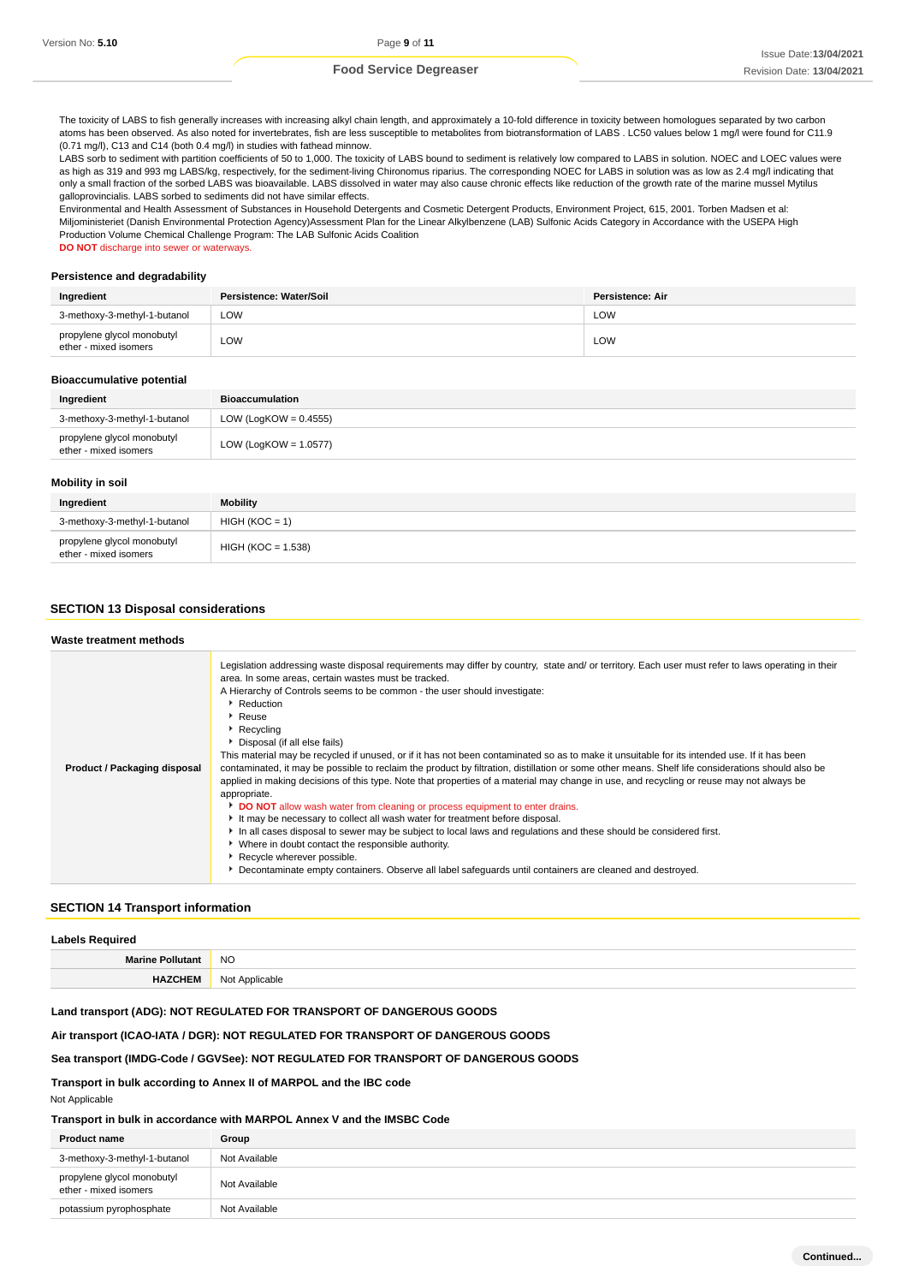The toxicity of LABS to fish generally increases with increasing alkyl chain length, and approximately a 10-fold difference in toxicity between homologues separated by two carbon atoms has been observed. As also noted for invertebrates, fish are less susceptible to metabolites from biotransformation of LABS . LC50 values below 1 mg/l were found for C11.9 (0.71 mg/l), C13 and C14 (both 0.4 mg/l) in studies with fathead minnow.

LABS sorb to sediment with partition coefficients of 50 to 1,000. The toxicity of LABS bound to sediment is relatively low compared to LABS in solution. NOEC and LOEC values were as high as 319 and 993 mg LABS/kg, respectively, for the sediment-living Chironomus riparius. The corresponding NOEC for LABS in solution was as low as 2.4 mg/l indicating that only a small fraction of the sorbed LABS was bioavailable. LABS dissolved in water may also cause chronic effects like reduction of the growth rate of the marine mussel Mytilus galloprovincialis. LABS sorbed to sediments did not have similar effects.

Environmental and Health Assessment of Substances in Household Detergents and Cosmetic Detergent Products, Environment Project, 615, 2001. Torben Madsen et al: Miljoministeriet (Danish Environmental Protection Agency)Assessment Plan for the Linear Alkylbenzene (LAB) Sulfonic Acids Category in Accordance with the USEPA High Production Volume Chemical Challenge Program: The LAB Sulfonic Acids Coalition **DO NOT** discharge into sewer or waterways

### **Persistence and degradability**

| Ingredient                                          | Persistence: Water/Soil | Persistence: Air |
|-----------------------------------------------------|-------------------------|------------------|
| 3-methoxy-3-methyl-1-butanol                        | LOW                     | LOW              |
| propylene glycol monobutyl<br>ether - mixed isomers | LOW                     | LOW              |

### **Bioaccumulative potential**

| Ingredient                                          | Bioaccumulation          |
|-----------------------------------------------------|--------------------------|
| 3-methoxy-3-methyl-1-butanol                        | LOW (LogKOW = $0.4555$ ) |
| propylene glycol monobutyl<br>ether - mixed isomers | LOW (LogKOW = $1.0577$ ) |

## **Mobility in soil**

| Ingredient                                          | Mobility             |
|-----------------------------------------------------|----------------------|
| 3-methoxy-3-methyl-1-butanol                        | $HIGH (KOC = 1)$     |
| propylene glycol monobutyl<br>ether - mixed isomers | $HIGH (KOC = 1.538)$ |

### **SECTION 13 Disposal considerations**

| Waste treatment methods             |                                                                                                                                                                                                                                                                                                                                                                                                                                                                                                                                                                                                                                                                                                                                                                                                                                                                                                                                                                                                                                                                                                                                                                                                                                                                                                                                            |
|-------------------------------------|--------------------------------------------------------------------------------------------------------------------------------------------------------------------------------------------------------------------------------------------------------------------------------------------------------------------------------------------------------------------------------------------------------------------------------------------------------------------------------------------------------------------------------------------------------------------------------------------------------------------------------------------------------------------------------------------------------------------------------------------------------------------------------------------------------------------------------------------------------------------------------------------------------------------------------------------------------------------------------------------------------------------------------------------------------------------------------------------------------------------------------------------------------------------------------------------------------------------------------------------------------------------------------------------------------------------------------------------|
| <b>Product / Packaging disposal</b> | Legislation addressing waste disposal requirements may differ by country, state and/ or territory. Each user must refer to laws operating in their<br>area. In some areas, certain wastes must be tracked.<br>A Hierarchy of Controls seems to be common - the user should investigate:<br>Reduction<br>▸ Reuse<br>$\triangleright$ Recycling<br>Disposal (if all else fails)<br>This material may be recycled if unused, or if it has not been contaminated so as to make it unsuitable for its intended use. If it has been<br>contaminated, it may be possible to reclaim the product by filtration, distillation or some other means. Shelf life considerations should also be<br>applied in making decisions of this type. Note that properties of a material may change in use, and recycling or reuse may not always be<br>appropriate.<br><b>DO NOT</b> allow wash water from cleaning or process equipment to enter drains.<br>It may be necessary to collect all wash water for treatment before disposal.<br>In all cases disposal to sewer may be subject to local laws and regulations and these should be considered first.<br>▶ Where in doubt contact the responsible authority.<br>Recycle wherever possible.<br>Decontaminate empty containers. Observe all label safeguards until containers are cleaned and destroyed. |

### **SECTION 14 Transport information**

| <b>Labels Required</b>  |                |
|-------------------------|----------------|
| <b>Marine Pollutant</b> | <b>NO</b>      |
| <b>HAZCHEM</b>          | Not Applicable |
|                         |                |

## **Land transport (ADG): NOT REGULATED FOR TRANSPORT OF DANGEROUS GOODS**

**Air transport (ICAO-IATA / DGR): NOT REGULATED FOR TRANSPORT OF DANGEROUS GOODS**

### **Sea transport (IMDG-Code / GGVSee): NOT REGULATED FOR TRANSPORT OF DANGEROUS GOODS**

### **Transport in bulk according to Annex II of MARPOL and the IBC code**

Not Applicable

### **Transport in bulk in accordance with MARPOL Annex V and the IMSBC Code**

| <b>Product name</b>                                 | Group         |
|-----------------------------------------------------|---------------|
| 3-methoxy-3-methyl-1-butanol                        | Not Available |
| propylene glycol monobutyl<br>ether - mixed isomers | Not Available |
| potassium pyrophosphate                             | Not Available |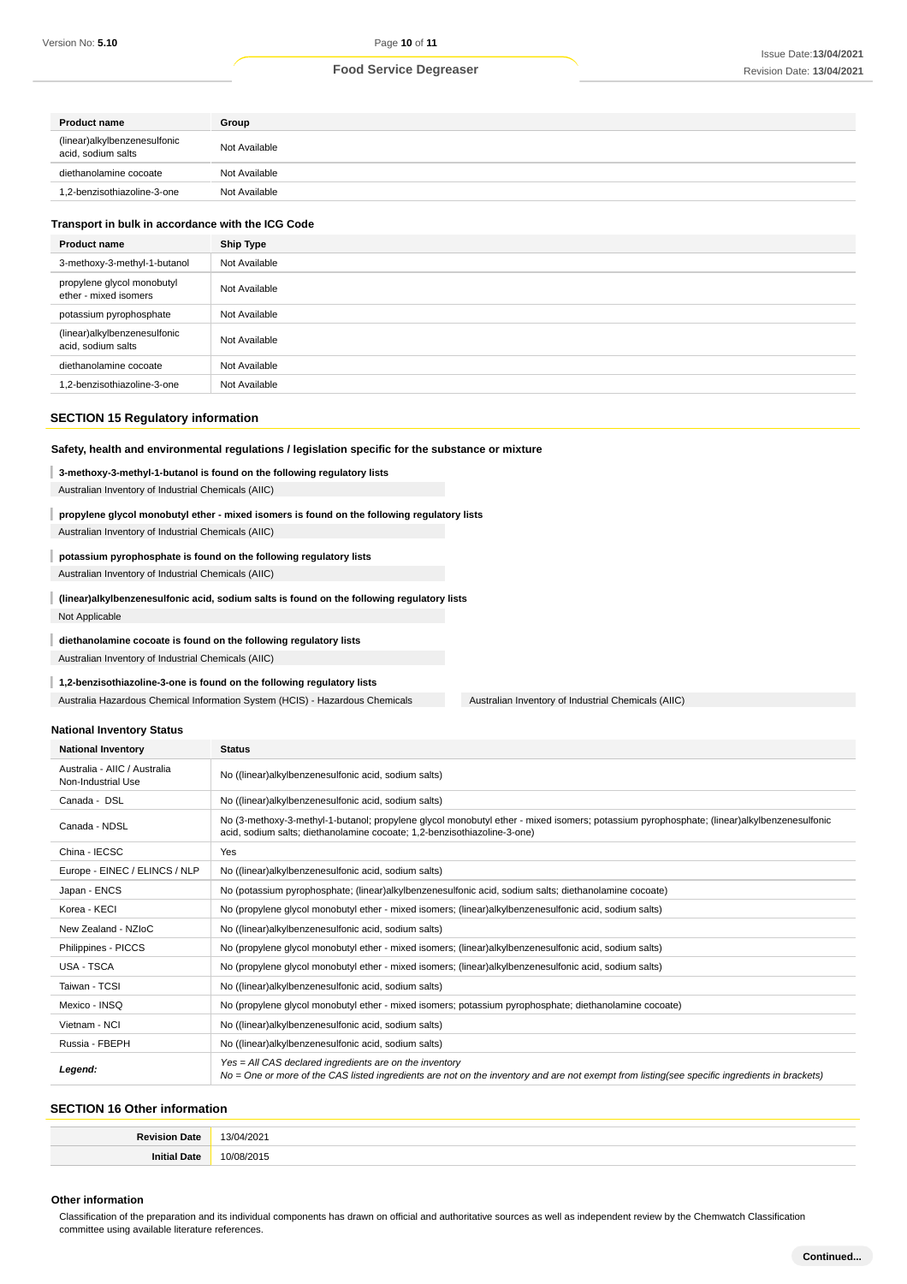| <b>Product name</b>                                | Group         |
|----------------------------------------------------|---------------|
| (linear)alkylbenzenesulfonic<br>acid, sodium salts | Not Available |
| diethanolamine cocoate                             | Not Available |
| 1,2-benzisothiazoline-3-one                        | Not Available |

### **Transport in bulk in accordance with the ICG Code**

| <b>Product name</b>                                 | <b>Ship Type</b> |
|-----------------------------------------------------|------------------|
| 3-methoxy-3-methyl-1-butanol                        | Not Available    |
| propylene glycol monobutyl<br>ether - mixed isomers | Not Available    |
| potassium pyrophosphate                             | Not Available    |
| (linear)alkylbenzenesulfonic<br>acid, sodium salts  | Not Available    |
| diethanolamine cocoate                              | Not Available    |
| 1,2-benzisothiazoline-3-one                         | Not Available    |

## **SECTION 15 Regulatory information**

## **Safety, health and environmental regulations / legislation specific for the substance or mixture**

#### I **3-methoxy-3-methyl-1-butanol is found on the following regulatory lists**

Australian Inventory of Industrial Chemicals (AIIC)

#### **propylene glycol monobutyl ether - mixed isomers is found on the following regulatory lists** I

Australian Inventory of Industrial Chemicals (AIIC)

#### T **potassium pyrophosphate is found on the following regulatory lists** Australian Inventory of Industrial Chemicals (AIIC)

T **(linear)alkylbenzenesulfonic acid, sodium salts is found on the following regulatory lists** Not Applicable

# **diethanolamine cocoate is found on the following regulatory lists**

Australian Inventory of Industrial Chemicals (AIIC)

### **1,2-benzisothiazoline-3-one is found on the following regulatory lists**

Australia Hazardous Chemical Information System (HCIS) - Hazardous Chemicals Australian Inventory of Industrial Chemicals (AIIC)

### **National Inventory Status**

| <b>National Inventory</b>                          | <b>Status</b>                                                                                                                                                                                                         |
|----------------------------------------------------|-----------------------------------------------------------------------------------------------------------------------------------------------------------------------------------------------------------------------|
| Australia - AIIC / Australia<br>Non-Industrial Use | No ((linear)alkylbenzenesulfonic acid, sodium salts)                                                                                                                                                                  |
| Canada - DSL                                       | No ((linear) alkylbenzenesulfonic acid, sodium salts)                                                                                                                                                                 |
| Canada - NDSL                                      | No (3-methoxy-3-methyl-1-butanol; propylene glycol monobutyl ether - mixed isomers; potassium pyrophosphate; (linear)alkylbenzenesulfonic<br>acid, sodium salts; diethanolamine cocoate; 1,2-benzisothiazoline-3-one) |
| China - IECSC                                      | Yes                                                                                                                                                                                                                   |
| Europe - EINEC / ELINCS / NLP                      | No ((linear)alkylbenzenesulfonic acid, sodium salts)                                                                                                                                                                  |
| Japan - ENCS                                       | No (potassium pyrophosphate; (linear)alkylbenzenesulfonic acid, sodium salts; diethanolamine cocoate)                                                                                                                 |
| Korea - KECI                                       | No (propylene glycol monobutyl ether - mixed isomers; (linear)alkylbenzenesulfonic acid, sodium salts)                                                                                                                |
| New Zealand - NZIoC                                | No ((linear) alkylbenzenes ulfonic acid, sodium salts)                                                                                                                                                                |
| Philippines - PICCS                                | No (propylene glycol monobutyl ether - mixed isomers; (linear)alkylbenzenesulfonic acid, sodium salts)                                                                                                                |
| USA - TSCA                                         | No (propylene glycol monobutyl ether - mixed isomers; (linear)alkylbenzenesulfonic acid, sodium salts)                                                                                                                |
| Taiwan - TCSI                                      | No ((linear)alkylbenzenesulfonic acid, sodium salts)                                                                                                                                                                  |
| Mexico - INSQ                                      | No (propylene glycol monobutyl ether - mixed isomers; potassium pyrophosphate; diethanolamine cocoate)                                                                                                                |
| Vietnam - NCI                                      | No ((linear) alkylbenzenes ulfonic acid, sodium salts)                                                                                                                                                                |
| Russia - FBEPH                                     | No ((linear)alkylbenzenesulfonic acid, sodium salts)                                                                                                                                                                  |
| Legend:                                            | Yes = All CAS declared ingredients are on the inventory<br>No = One or more of the CAS listed ingredients are not on the inventory and are not exempt from listing(see specific ingredients in brackets)              |

## **SECTION 16 Other information**

| . |
|---|
|   |

### **Other information**

Classification of the preparation and its individual components has drawn on official and authoritative sources as well as independent review by the Chemwatch Classification committee using available literature references.